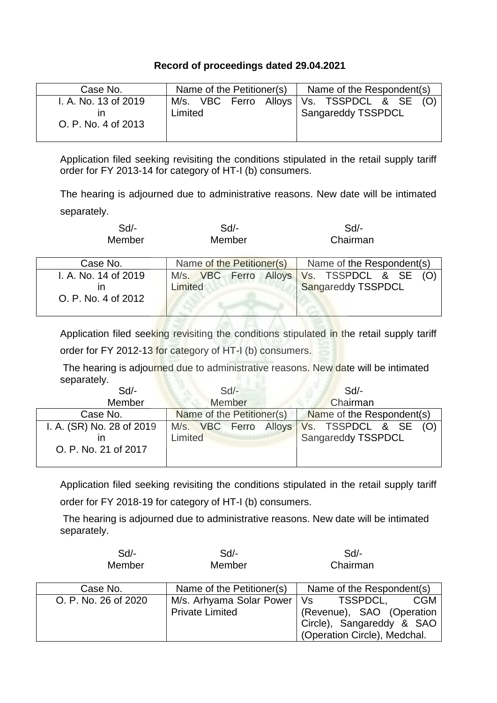## **Record of proceedings dated 29.04.2021**

| Case No.                                          | Name of the Petitioner(s) |  | Name of the Respondent(s)                                                       |  |  |
|---------------------------------------------------|---------------------------|--|---------------------------------------------------------------------------------|--|--|
| I. A. No. 13 of 2019<br>ın<br>O. P. No. 4 of 2013 | Limited                   |  | M/s. VBC Ferro Alloys   Vs. TSSPDCL & SE (O)<br><sup>1</sup> Sangareddy TSSPDCL |  |  |

Application filed seeking revisiting the conditions stipulated in the retail supply tariff order for FY 2013-14 for category of HT-I (b) consumers.

The hearing is adjourned due to administrative reasons. New date will be intimated separately.

| Sd/-   | Sd/-   | Sd/-     |
|--------|--------|----------|
| Member | Member | Chairman |

| Case No.                                    | Name of the Petitioner(s) | Name of the Respondent(s)                                        |
|---------------------------------------------|---------------------------|------------------------------------------------------------------|
| I. A. No. 14 of 2019<br>O. P. No. 4 of 2012 | Limited                   | M/s. VBC Ferro Alloys Vs. TSSPDCL & SE (O)<br>Sangareddy TSSPDCL |

Application filed seeking revisiting the conditions stipulated in the retail supply tariff

order for FY 2012-13 for category of HT-I (b) consumers.

The hearing is adjourned due to administrative reasons. New date will be intimated separately.

| $Sd$ -                    | $Sd$ -                    | Sd                        |
|---------------------------|---------------------------|---------------------------|
| Member                    | Member                    | Chairman                  |
| Case No.                  | Name of the Petitioner(s) | Name of the Respondent(s) |
| I. A. (SR) No. 28 of 2019 | M/s. VBC Ferro Alloys     | Vs. TSSPDCL & SE (O)      |
|                           | Limited                   | Sangareddy TSSPDCL        |
| O. P. No. 21 of 2017      |                           |                           |
|                           |                           |                           |

Application filed seeking revisiting the conditions stipulated in the retail supply tariff order for FY 2018-19 for category of HT-I (b) consumers.

The hearing is adjourned due to administrative reasons. New date will be intimated separately.

| $Sd$ -               | Sd/-                                               | $Sd$ -                                                                                                                 |
|----------------------|----------------------------------------------------|------------------------------------------------------------------------------------------------------------------------|
| Member               | Member                                             | Chairman                                                                                                               |
| Case No.             | Name of the Petitioner(s)                          | Name of the Respondent(s)                                                                                              |
| O. P. No. 26 of 2020 | M/s. Arhyama Solar Power<br><b>Private Limited</b> | <b>CGM</b><br>TSSPDCL,<br>Vs<br>(Revenue), SAO (Operation<br>Circle), Sangareddy & SAO<br>(Operation Circle), Medchal. |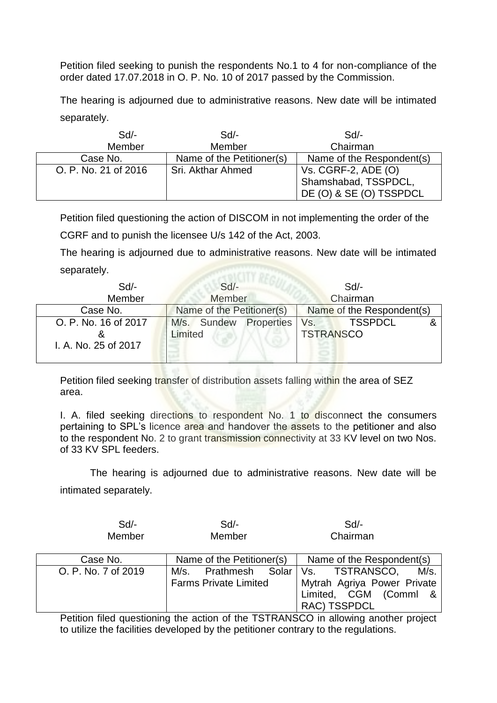Petition filed seeking to punish the respondents No.1 to 4 for non-compliance of the order dated 17.07.2018 in O. P. No. 10 of 2017 passed by the Commission.

The hearing is adjourned due to administrative reasons. New date will be intimated separately.

| $Sd$ -               | Sd                        | Sd                        |
|----------------------|---------------------------|---------------------------|
| Member               | Member                    | Chairman                  |
| Case No.             | Name of the Petitioner(s) | Name of the Respondent(s) |
| O. P. No. 21 of 2016 | Sri. Akthar Ahmed         | Vs. CGRF-2, ADE $(O)$     |
|                      |                           | Shamshabad, TSSPDCL,      |
|                      |                           | DE (O) & SE (O) TSSPDCL   |

Petition filed questioning the action of DISCOM in not implementing the order of the CGRF and to punish the licensee U/s 142 of the Act, 2003.

The hearing is adjourned due to administrative reasons. New date will be intimated separately.

| $Sd$ -                                       | $Sd$ -                    |            |                         | $Sd$ -                    |  |
|----------------------------------------------|---------------------------|------------|-------------------------|---------------------------|--|
| Member                                       | Member                    |            |                         | Chairman                  |  |
| Case No.                                     | Name of the Petitioner(s) |            |                         | Name of the Respondent(s) |  |
| O. P. No. 16 of 2017<br>I. A. No. 25 of 2017 | M/s. Sundew<br>Limited    | Properties | Vs.<br><b>TSTRANSCO</b> | <b>TSSPDCL</b>            |  |
|                                              |                           |            |                         |                           |  |

Petition filed seeking transfer of distribution assets falling within the area of SEZ area.

I. A. filed seeking directions to respondent No. 1 to disconnect the consumers pertaining to SPL's licence area and handover the assets to the petitioner and also to the respondent No. 2 to grant transmission connectivity at 33 KV level on two Nos. of 33 KV SPL feeders.

The hearing is adjourned due to administrative reasons. New date will be intimated separately.

| $Sd$ - | Sd/-   | Sd       |
|--------|--------|----------|
| Member | Member | Chairman |

| Case No.            | Name of the Petitioner(s)            | Name of the Respondent(s)                                                                                               |
|---------------------|--------------------------------------|-------------------------------------------------------------------------------------------------------------------------|
| O. P. No. 7 of 2019 | M/s.<br><b>Farms Private Limited</b> | M/s.<br>Prathmesh Solar   Vs. TSTRANSCO,<br>Mytrah Agriya Power Private<br>Limited, CGM (Comml &<br><b>RAC) TSSPDCL</b> |

Petition filed questioning the action of the TSTRANSCO in allowing another project to utilize the facilities developed by the petitioner contrary to the regulations.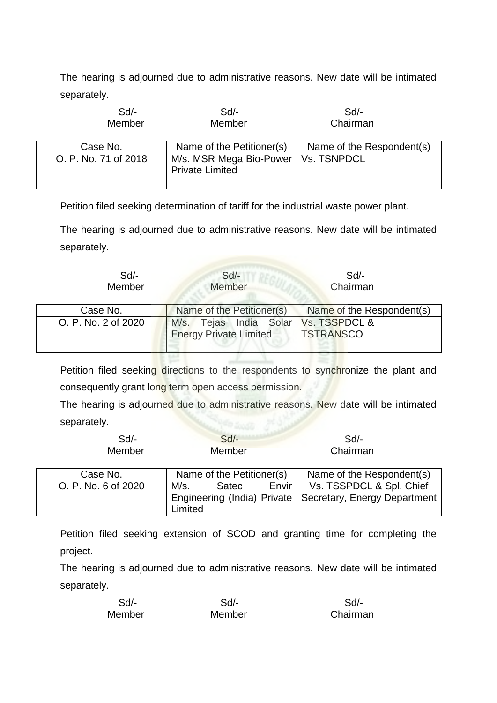The hearing is adjourned due to administrative reasons. New date will be intimated separately.

| $Sd$ -<br>Member     | Sd<br>Member                                                    | Sd<br>Chairman            |
|----------------------|-----------------------------------------------------------------|---------------------------|
| Case No.             | Name of the Petitioner(s)                                       | Name of the Respondent(s) |
| O. P. No. 71 of 2018 | M/s. MSR Mega Bio-Power   Vs. TSNPDCL<br><b>Private Limited</b> |                           |

Petition filed seeking determination of tariff for the industrial waste power plant.

The hearing is adjourned due to administrative reasons. New date will be intimated separately.

| $Sd$ -<br>Member    | $Sd$ -<br>Member                                        | Sd<br>Chairman                    |
|---------------------|---------------------------------------------------------|-----------------------------------|
| Case No.            | Name of the Petitioner(s)                               | Name of the Respondent(s)         |
| O. P. No. 2 of 2020 | M/s. Tejas India Solar<br><b>Energy Private Limited</b> | Vs. TSSPDCL &<br><b>TSTRANSCO</b> |

Petition filed seeking directions to the respondents to synchronize the plant and consequently grant long term open access permission.

The hearing is adjourned due to administrative reasons. New date will be intimated separately.

| $C_{d}$       | Sd/-     |  |
|---------------|----------|--|
| <b>Member</b> | Chairman |  |
|               |          |  |

| Case No.            |         | Name of the Petitioner(s) |         | Name of the Respondent(s)                                  |
|---------------------|---------|---------------------------|---------|------------------------------------------------------------|
| O. P. No. 6 of 2020 | M/s.    | Satec                     | Envir I | Vs. TSSPDCL & Spl. Chief                                   |
|                     |         |                           |         | Engineering (India) Private   Secretary, Energy Department |
|                     | Limited |                           |         |                                                            |

Petition filed seeking extension of SCOD and granting time for completing the project.

The hearing is adjourned due to administrative reasons. New date will be intimated separately.

| $Sd$ - | Sd/-   | Sd       |
|--------|--------|----------|
| Member | Member | Chairman |